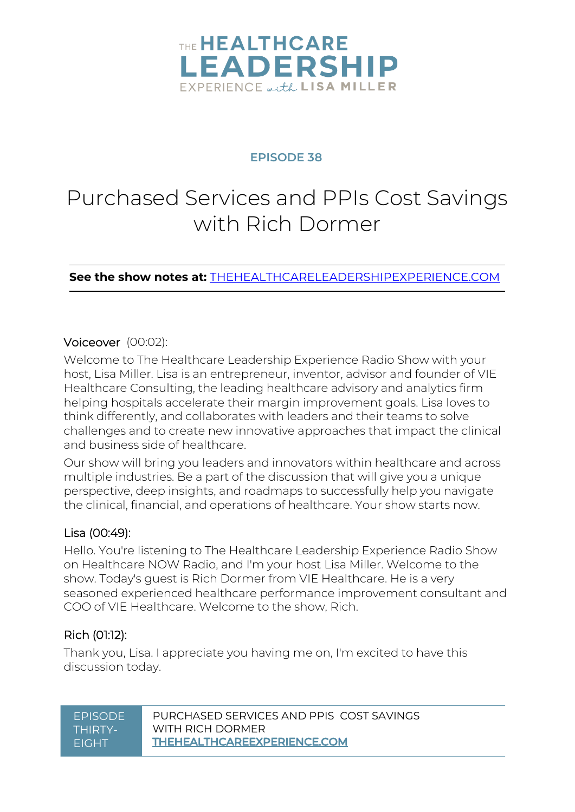

#### **EPISODE 38**

# Purchased Services and PPIs Cost Savings with Rich Dormer

**See the show notes at:** [THEHEALTHCARELEADERSHIPEXPERIENCE.COM](http://thehealthcareleadershipexperience.com/)

#### Voiceover (00:02):

Welcome to The Healthcare Leadership Experience Radio Show with your host, Lisa Miller. Lisa is an entrepreneur, inventor, advisor and founder of VIE Healthcare Consulting, the leading healthcare advisory and analytics firm helping hospitals accelerate their margin improvement goals. Lisa loves to think differently, and collaborates with leaders and their teams to solve challenges and to create new innovative approaches that impact the clinical and business side of healthcare.

Our show will bring you leaders and innovators within healthcare and across multiple industries. Be a part of the discussion that will give you a unique perspective, deep insights, and roadmaps to successfully help you navigate the clinical, financial, and operations of healthcare. Your show starts now.

#### Lisa (00:49):

Hello. You're listening to The Healthcare Leadership Experience Radio Show on Healthcare NOW Radio, and I'm your host Lisa Miller. Welcome to the show. Today's guest is Rich Dormer from VIE Healthcare. He is a very seasoned experienced healthcare performance improvement consultant and COO of VIE Healthcare. Welcome to the show, Rich.

#### Rich (01:12):

Thank you, Lisa. I appreciate you having me on, I'm excited to have this discussion today.

| PURCHASED SERVICES AND PPIS COST SAVINGS<br><b>FPISODE</b><br>WITH RICH DORMER<br>THIRTY-<br><b>THEHEALTHCAREEXPERIENCE.COM</b><br><b>FIGHT</b> |
|-------------------------------------------------------------------------------------------------------------------------------------------------|
|-------------------------------------------------------------------------------------------------------------------------------------------------|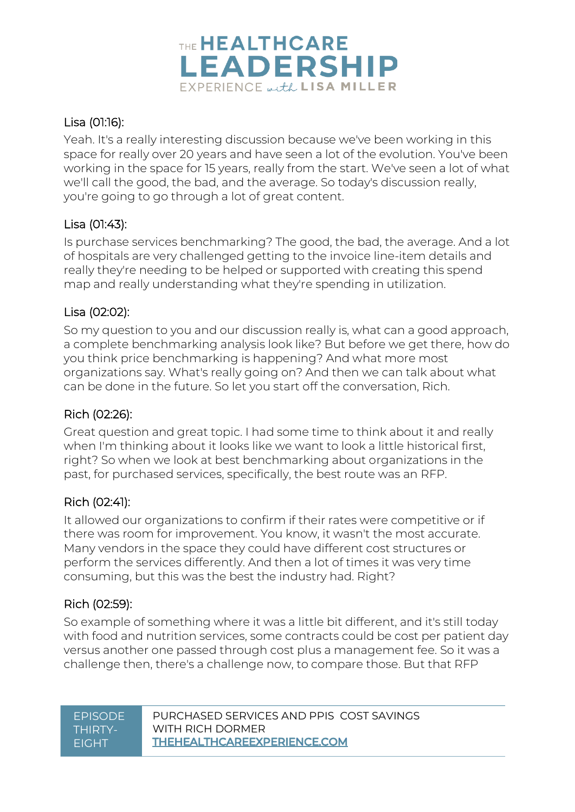

#### Lisa (01:16):

Yeah. It's a really interesting discussion because we've been working in this space for really over 20 years and have seen a lot of the evolution. You've been working in the space for 15 years, really from the start. We've seen a lot of what we'll call the good, the bad, and the average. So today's discussion really, you're going to go through a lot of great content.

#### Lisa (01:43):

Is purchase services benchmarking? The good, the bad, the average. And a lot of hospitals are very challenged getting to the invoice line-item details and really they're needing to be helped or supported with creating this spend map and really understanding what they're spending in utilization.

#### Lisa (02:02):

So my question to you and our discussion really is, what can a good approach, a complete benchmarking analysis look like? But before we get there, how do you think price benchmarking is happening? And what more most organizations say. What's really going on? And then we can talk about what can be done in the future. So let you start off the conversation, Rich.

#### Rich (02:26):

Great question and great topic. I had some time to think about it and really when I'm thinking about it looks like we want to look a little historical first, right? So when we look at best benchmarking about organizations in the past, for purchased services, specifically, the best route was an RFP.

#### Rich (02:41):

It allowed our organizations to confirm if their rates were competitive or if there was room for improvement. You know, it wasn't the most accurate. Many vendors in the space they could have different cost structures or perform the services differently. And then a lot of times it was very time consuming, but this was the best the industry had. Right?

#### Rich (02:59):

So example of something where it was a little bit different, and it's still today with food and nutrition services, some contracts could be cost per patient day versus another one passed through cost plus a management fee. So it was a challenge then, there's a challenge now, to compare those. But that RFP

#### EPISODE PURCHASED SERVICES AND PPIS COST SAVINGS [WITH RICH DORMER](http://thehealthcareexperience.com/) THIRTY-EIGHT **THEHEALTHCAREEXPERIENCE.COM** EIGHT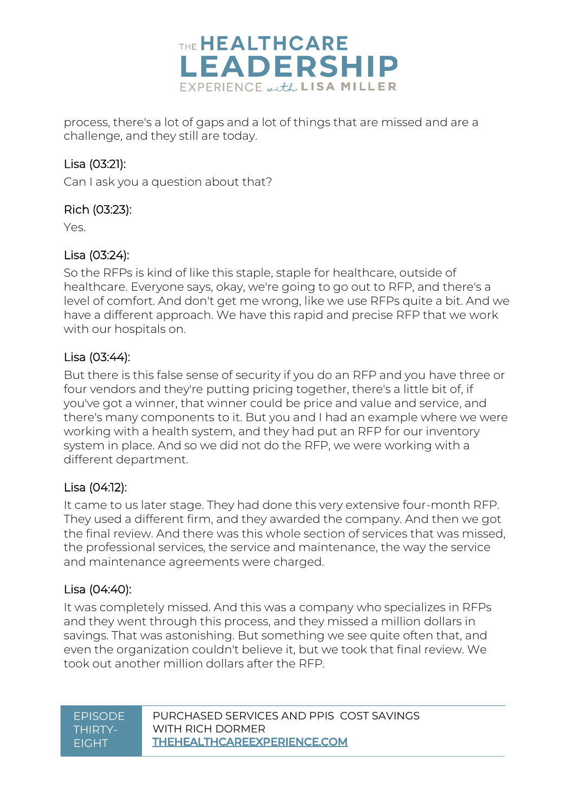

process, there's a lot of gaps and a lot of things that are missed and are a challenge, and they still are today.

#### Lisa (03:21):

Can I ask you a question about that?

#### Rich (03:23):

Yes.

#### Lisa (03:24):

So the RFPs is kind of like this staple, staple for healthcare, outside of healthcare. Everyone says, okay, we're going to go out to RFP, and there's a level of comfort. And don't get me wrong, like we use RFPs quite a bit. And we have a different approach. We have this rapid and precise RFP that we work with our hospitals on.

#### Lisa (03:44):

But there is this false sense of security if you do an RFP and you have three or four vendors and they're putting pricing together, there's a little bit of, if you've got a winner, that winner could be price and value and service, and there's many components to it. But you and I had an example where we were working with a health system, and they had put an RFP for our inventory system in place. And so we did not do the RFP, we were working with a different department.

#### Lisa (04:12):

It came to us later stage. They had done this very extensive four-month RFP. They used a different firm, and they awarded the company. And then we got the final review. And there was this whole section of services that was missed, the professional services, the service and maintenance, the way the service and maintenance agreements were charged.

#### Lisa (04:40):

It was completely missed. And this was a company who specializes in RFPs and they went through this process, and they missed a million dollars in savings. That was astonishing. But something we see quite often that, and even the organization couldn't believe it, but we took that final review. We took out another million dollars after the RFP.

#### EPISODE PURCHASED SERVICES AND PPIS COST SAVINGS [WITH RICH DORMER](http://thehealthcareexperience.com/) THIRTY-EIGHT **THEHEALTHCAREEXPERIENCE.COM** EIGHT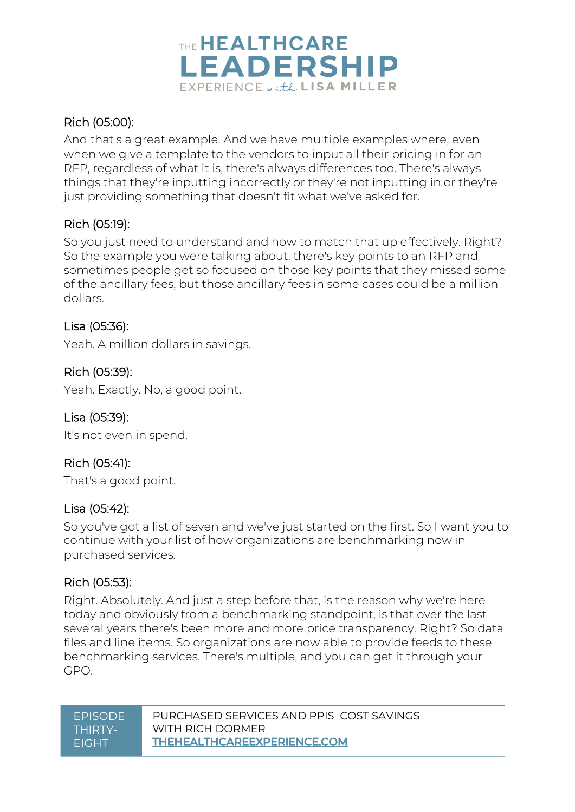

#### Rich (05:00):

And that's a great example. And we have multiple examples where, even when we give a template to the vendors to input all their pricing in for an RFP, regardless of what it is, there's always differences too. There's always things that they're inputting incorrectly or they're not inputting in or they're just providing something that doesn't fit what we've asked for.

#### Rich (05:19):

So you just need to understand and how to match that up effectively. Right? So the example you were talking about, there's key points to an RFP and sometimes people get so focused on those key points that they missed some of the ancillary fees, but those ancillary fees in some cases could be a million dollars.

#### Lisa (05:36):

Yeah. A million dollars in savings.

#### Rich (05:39):

Yeah. Exactly. No, a good point.

#### Lisa (05:39):

It's not even in spend.

#### Rich (05:41):

That's a good point.

#### Lisa (05:42):

So you've got a list of seven and we've just started on the first. So I want you to continue with your list of how organizations are benchmarking now in purchased services.

#### Rich (05:53):

Right. Absolutely. And just a step before that, is the reason why we're here today and obviously from a benchmarking standpoint, is that over the last several years there's been more and more price transparency. Right? So data files and line items. So organizations are now able to provide feeds to these benchmarking services. There's multiple, and you can get it through your GPO.

| <b>FPISODE</b> | PURCHASED SERVICES AND PPIS COST SAVINGS |
|----------------|------------------------------------------|
| THIRTY-        | WITH RICH DORMER                         |
| <b>FIGHT</b>   | <b>THEHEALTHCAREEXPERIENCE.COM</b>       |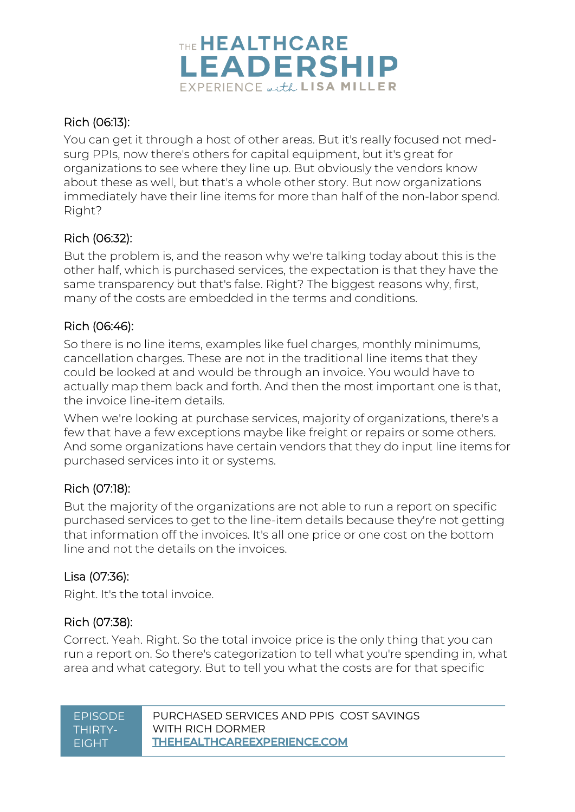

#### Rich (06:13):

You can get it through a host of other areas. But it's really focused not medsurg PPIs, now there's others for capital equipment, but it's great for organizations to see where they line up. But obviously the vendors know about these as well, but that's a whole other story. But now organizations immediately have their line items for more than half of the non-labor spend. Right?

#### Rich (06:32):

But the problem is, and the reason why we're talking today about this is the other half, which is purchased services, the expectation is that they have the same transparency but that's false. Right? The biggest reasons why, first, many of the costs are embedded in the terms and conditions.

#### Rich (06:46):

So there is no line items, examples like fuel charges, monthly minimums, cancellation charges. These are not in the traditional line items that they could be looked at and would be through an invoice. You would have to actually map them back and forth. And then the most important one is that, the invoice line-item details.

When we're looking at purchase services, majority of organizations, there's a few that have a few exceptions maybe like freight or repairs or some others. And some organizations have certain vendors that they do input line items for purchased services into it or systems.

#### Rich (07:18):

But the majority of the organizations are not able to run a report on specific purchased services to get to the line-item details because they're not getting that information off the invoices. It's all one price or one cost on the bottom line and not the details on the invoices.

#### Lisa (07:36):

Right. It's the total invoice.

#### Rich (07:38):

Correct. Yeah. Right. So the total invoice price is the only thing that you can run a report on. So there's categorization to tell what you're spending in, what area and what category. But to tell you what the costs are for that specific

| PURCHASED SERVICES AND PPIS COST SAVINGS<br><b>FPISODE</b><br>WITH RICH DORMER<br>THIRTY-<br><b>THEHEALTHCAREEXPERIENCE.COM</b><br><b>FIGHT</b> |
|-------------------------------------------------------------------------------------------------------------------------------------------------|
|-------------------------------------------------------------------------------------------------------------------------------------------------|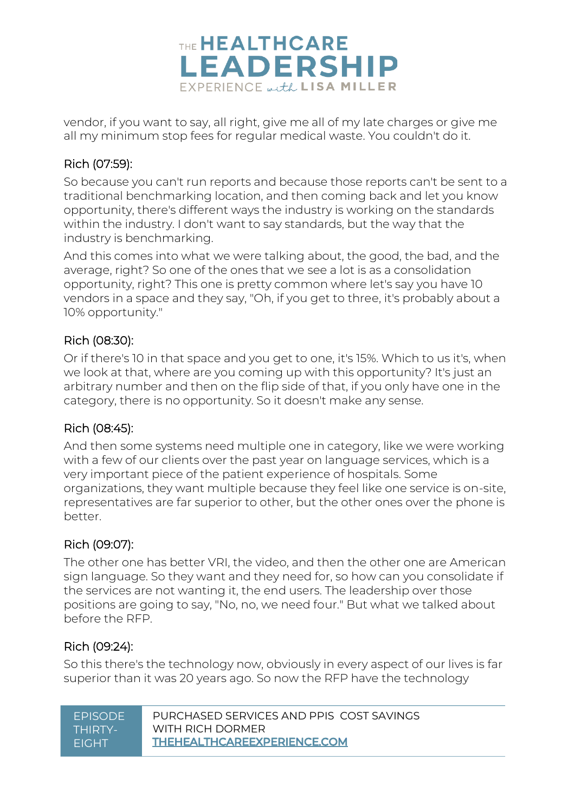

vendor, if you want to say, all right, give me all of my late charges or give me all my minimum stop fees for regular medical waste. You couldn't do it.

#### Rich (07:59):

So because you can't run reports and because those reports can't be sent to a traditional benchmarking location, and then coming back and let you know opportunity, there's different ways the industry is working on the standards within the industry. I don't want to say standards, but the way that the industry is benchmarking.

And this comes into what we were talking about, the good, the bad, and the average, right? So one of the ones that we see a lot is as a consolidation opportunity, right? This one is pretty common where let's say you have 10 vendors in a space and they say, "Oh, if you get to three, it's probably about a 10% opportunity."

#### Rich (08:30):

Or if there's 10 in that space and you get to one, it's 15%. Which to us it's, when we look at that, where are you coming up with this opportunity? It's just an arbitrary number and then on the flip side of that, if you only have one in the category, there is no opportunity. So it doesn't make any sense.

#### Rich (08:45):

And then some systems need multiple one in category, like we were working with a few of our clients over the past year on language services, which is a very important piece of the patient experience of hospitals. Some organizations, they want multiple because they feel like one service is on-site, representatives are far superior to other, but the other ones over the phone is better.

#### Rich (09:07):

The other one has better VRI, the video, and then the other one are American sign language. So they want and they need for, so how can you consolidate if the services are not wanting it, the end users. The leadership over those positions are going to say, "No, no, we need four." But what we talked about before the RFP.

#### Rich (09:24):

So this there's the technology now, obviously in every aspect of our lives is far superior than it was 20 years ago. So now the RFP have the technology

| <b>FPISODE</b> | PURCHASED SERVICES AND PPIS COST SAVINGS |
|----------------|------------------------------------------|
| THIRTY-        | WITH RICH DORMER                         |
| <b>FIGHT</b>   | THEHEALTHCAREEXPERIENCE.COM              |
|                |                                          |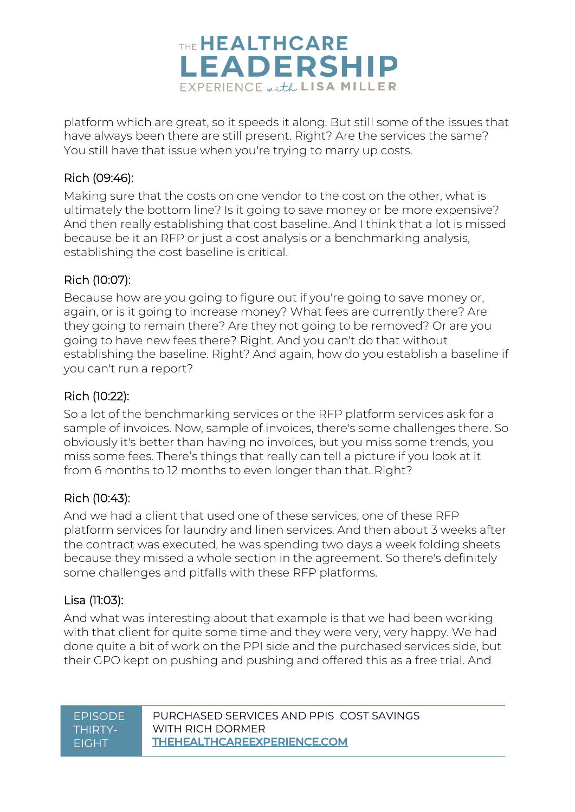

platform which are great, so it speeds it along. But still some of the issues that have always been there are still present. Right? Are the services the same? You still have that issue when you're trying to marry up costs.

#### Rich (09:46):

Making sure that the costs on one vendor to the cost on the other, what is ultimately the bottom line? Is it going to save money or be more expensive? And then really establishing that cost baseline. And I think that a lot is missed because be it an RFP or just a cost analysis or a benchmarking analysis, establishing the cost baseline is critical.

#### Rich (10:07):

Because how are you going to figure out if you're going to save money or, again, or is it going to increase money? What fees are currently there? Are they going to remain there? Are they not going to be removed? Or are you going to have new fees there? Right. And you can't do that without establishing the baseline. Right? And again, how do you establish a baseline if you can't run a report?

#### Rich (10:22):

So a lot of the benchmarking services or the RFP platform services ask for a sample of invoices. Now, sample of invoices, there's some challenges there. So obviously it's better than having no invoices, but you miss some trends, you miss some fees. There's things that really can tell a picture if you look at it from 6 months to 12 months to even longer than that. Right?

#### Rich (10:43):

And we had a client that used one of these services, one of these RFP platform services for laundry and linen services. And then about 3 weeks after the contract was executed, he was spending two days a week folding sheets because they missed a whole section in the agreement. So there's definitely some challenges and pitfalls with these RFP platforms.

#### Lisa (11:03):

And what was interesting about that example is that we had been working with that client for quite some time and they were very, very happy. We had done quite a bit of work on the PPI side and the purchased services side, but their GPO kept on pushing and pushing and offered this as a free trial. And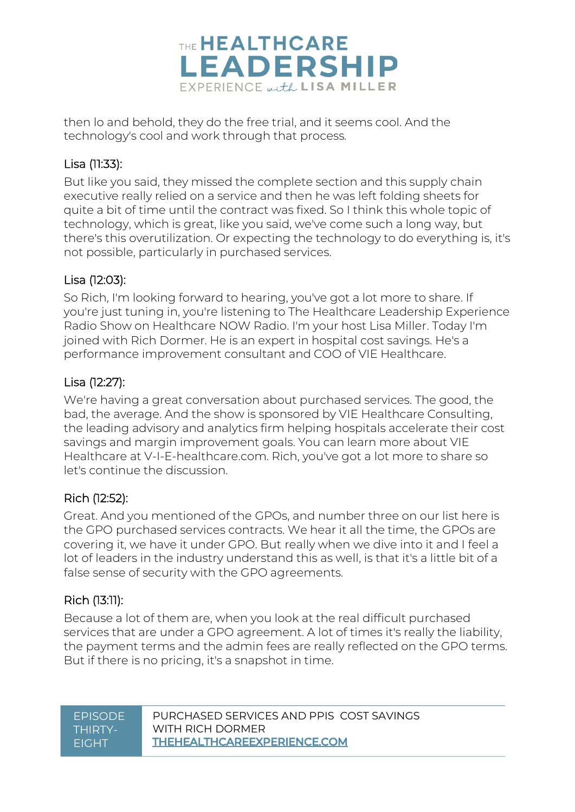

then lo and behold, they do the free trial, and it seems cool. And the technology's cool and work through that process.

#### Lisa (11:33):

But like you said, they missed the complete section and this supply chain executive really relied on a service and then he was left folding sheets for quite a bit of time until the contract was fixed. So I think this whole topic of technology, which is great, like you said, we've come such a long way, but there's this overutilization. Or expecting the technology to do everything is, it's not possible, particularly in purchased services.

### Lisa (12:03):

So Rich, I'm looking forward to hearing, you've got a lot more to share. If you're just tuning in, you're listening to The Healthcare Leadership Experience Radio Show on Healthcare NOW Radio. I'm your host Lisa Miller. Today I'm joined with Rich Dormer. He is an expert in hospital cost savings. He's a performance improvement consultant and COO of VIE Healthcare.

#### Lisa (12:27):

We're having a great conversation about purchased services. The good, the bad, the average. And the show is sponsored by VIE Healthcare Consulting, the leading advisory and analytics firm helping hospitals accelerate their cost savings and margin improvement goals. You can learn more about VIE Healthcare at V-I-E-healthcare.com. Rich, you've got a lot more to share so let's continue the discussion.

#### Rich (12:52):

Great. And you mentioned of the GPOs, and number three on our list here is the GPO purchased services contracts. We hear it all the time, the GPOs are covering it, we have it under GPO. But really when we dive into it and I feel a lot of leaders in the industry understand this as well, is that it's a little bit of a false sense of security with the GPO agreements.

### Rich (13:11):

Because a lot of them are, when you look at the real difficult purchased services that are under a GPO agreement. A lot of times it's really the liability, the payment terms and the admin fees are really reflected on the GPO terms. But if there is no pricing, it's a snapshot in time.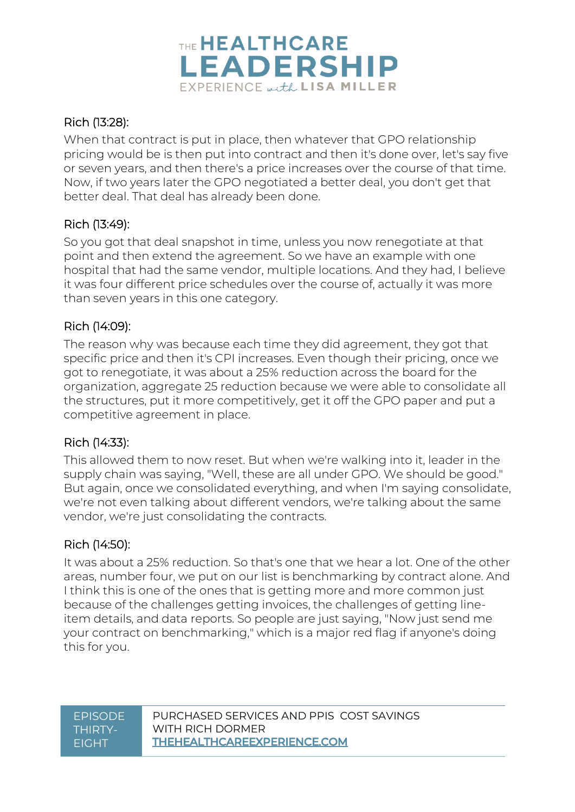

#### Rich (13:28):

When that contract is put in place, then whatever that GPO relationship pricing would be is then put into contract and then it's done over, let's say five or seven years, and then there's a price increases over the course of that time. Now, if two years later the GPO negotiated a better deal, you don't get that better deal. That deal has already been done.

#### Rich (13:49):

So you got that deal snapshot in time, unless you now renegotiate at that point and then extend the agreement. So we have an example with one hospital that had the same vendor, multiple locations. And they had, I believe it was four different price schedules over the course of, actually it was more than seven years in this one category.

#### Rich (14:09):

The reason why was because each time they did agreement, they got that specific price and then it's CPI increases. Even though their pricing, once we got to renegotiate, it was about a 25% reduction across the board for the organization, aggregate 25 reduction because we were able to consolidate all the structures, put it more competitively, get it off the GPO paper and put a competitive agreement in place.

#### Rich (14:33):

This allowed them to now reset. But when we're walking into it, leader in the supply chain was saying, "Well, these are all under GPO. We should be good." But again, once we consolidated everything, and when I'm saying consolidate, we're not even talking about different vendors, we're talking about the same vendor, we're just consolidating the contracts.

#### Rich (14:50):

It was about a 25% reduction. So that's one that we hear a lot. One of the other areas, number four, we put on our list is benchmarking by contract alone. And I think this is one of the ones that is getting more and more common just because of the challenges getting invoices, the challenges of getting lineitem details, and data reports. So people are just saying, "Now just send me your contract on benchmarking," which is a major red flag if anyone's doing this for you.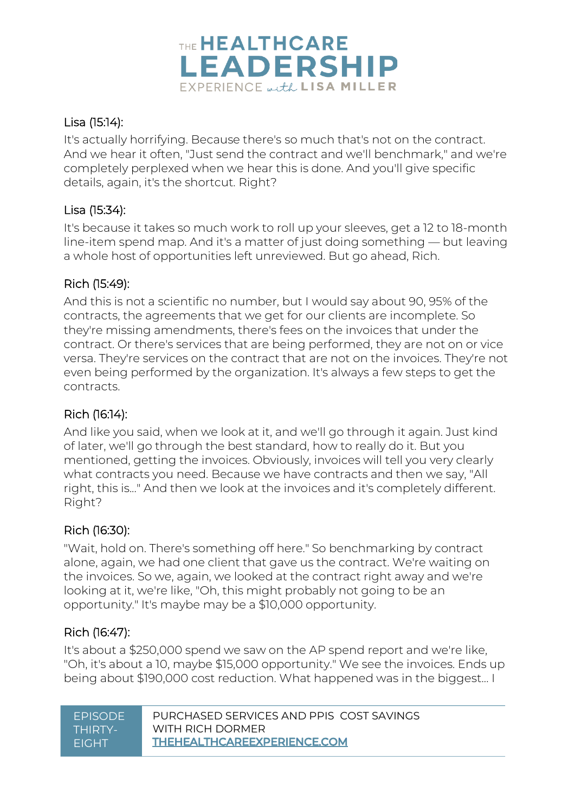

### Lisa (15:14):

It's actually horrifying. Because there's so much that's not on the contract. And we hear it often, "Just send the contract and we'll benchmark," and we're completely perplexed when we hear this is done. And you'll give specific details, again, it's the shortcut. Right?

#### Lisa (15:34):

It's because it takes so much work to roll up your sleeves, get a 12 to 18-month line-item spend map. And it's a matter of just doing something — but leaving a whole host of opportunities left unreviewed. But go ahead, Rich.

#### Rich (15:49):

And this is not a scientific no number, but I would say about 90, 95% of the contracts, the agreements that we get for our clients are incomplete. So they're missing amendments, there's fees on the invoices that under the contract. Or there's services that are being performed, they are not on or vice versa. They're services on the contract that are not on the invoices. They're not even being performed by the organization. It's always a few steps to get the contracts.

#### Rich (16:14):

And like you said, when we look at it, and we'll go through it again. Just kind of later, we'll go through the best standard, how to really do it. But you mentioned, getting the invoices. Obviously, invoices will tell you very clearly what contracts you need. Because we have contracts and then we say, "All right, this is..." And then we look at the invoices and it's completely different. Right?

#### Rich (16:30):

"Wait, hold on. There's something off here." So benchmarking by contract alone, again, we had one client that gave us the contract. We're waiting on the invoices. So we, again, we looked at the contract right away and we're looking at it, we're like, "Oh, this might probably not going to be an opportunity." It's maybe may be a \$10,000 opportunity.

#### Rich (16:47):

It's about a \$250,000 spend we saw on the AP spend report and we're like, "Oh, it's about a 10, maybe \$15,000 opportunity." We see the invoices. Ends up being about \$190,000 cost reduction. What happened was in the biggest... I

| <b>FPISODE</b> | PURCHASED SERVICES AND PPIS COST SAVINGS |
|----------------|------------------------------------------|
| THIRTY-        | WITH RICH DORMER                         |
| <b>FIGHT</b>   | <b>THEHEALTHCAREEXPERIENCE.COM</b>       |
|                |                                          |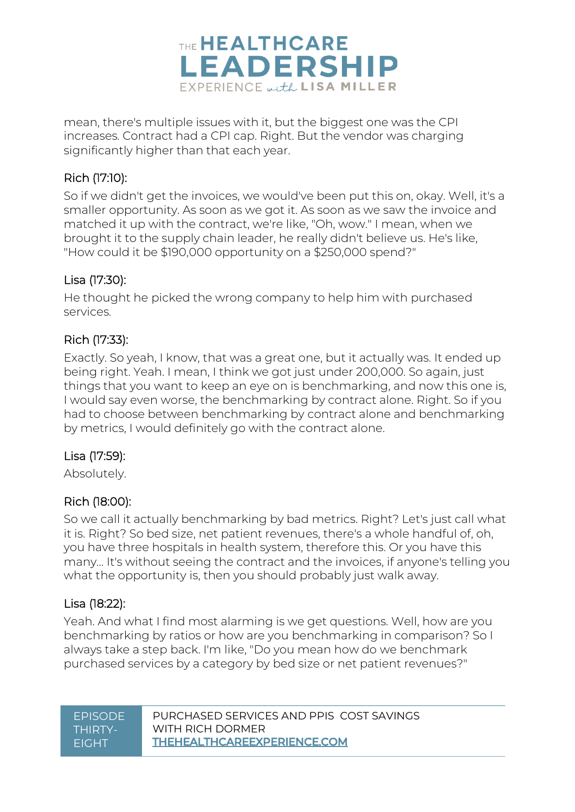

mean, there's multiple issues with it, but the biggest one was the CPI increases. Contract had a CPI cap. Right. But the vendor was charging significantly higher than that each year.

#### Rich (17:10):

So if we didn't get the invoices, we would've been put this on, okay. Well, it's a smaller opportunity. As soon as we got it. As soon as we saw the invoice and matched it up with the contract, we're like, "Oh, wow." I mean, when we brought it to the supply chain leader, he really didn't believe us. He's like, "How could it be \$190,000 opportunity on a \$250,000 spend?"

#### Lisa (17:30):

He thought he picked the wrong company to help him with purchased services.

#### Rich (17:33):

Exactly. So yeah, I know, that was a great one, but it actually was. It ended up being right. Yeah. I mean, I think we got just under 200,000. So again, just things that you want to keep an eye on is benchmarking, and now this one is, I would say even worse, the benchmarking by contract alone. Right. So if you had to choose between benchmarking by contract alone and benchmarking by metrics, I would definitely go with the contract alone.

#### Lisa (17:59):

Absolutely.

#### Rich (18:00):

So we call it actually benchmarking by bad metrics. Right? Let's just call what it is. Right? So bed size, net patient revenues, there's a whole handful of, oh, you have three hospitals in health system, therefore this. Or you have this many... It's without seeing the contract and the invoices, if anyone's telling you what the opportunity is, then you should probably just walk away.

#### Lisa (18:22):

Yeah. And what I find most alarming is we get questions. Well, how are you benchmarking by ratios or how are you benchmarking in comparison? So I always take a step back. I'm like, "Do you mean how do we benchmark purchased services by a category by bed size or net patient revenues?"

| <b>FPISODE</b> | PURCHASED SERVICES AND PPIS COST SAVINGS |
|----------------|------------------------------------------|
| THIRTY-        | WITH RICH DORMER                         |
| <b>FIGHT</b>   | <b>THEHEALTHCAREEXPERIENCE.COM</b>       |
|                |                                          |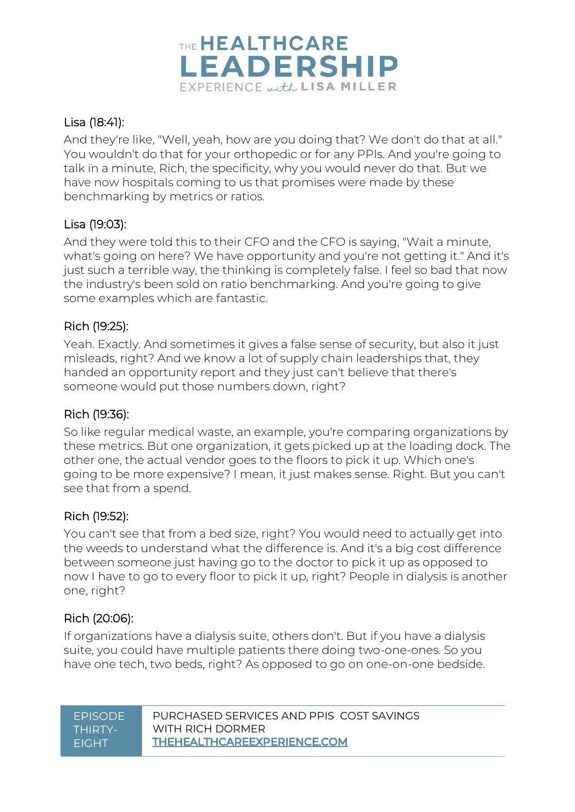

#### Lisa (18:41):

And they're like, "Well, yeah, how are you doing that? We don't do that at all." You wouldn't do that for your orthopedic or for any PPIs. And you're going to talk in a minute, Rich, the specificity, why you would never do that. But we have now hospitals coming to us that promises were made by these benchmarking by metrics or ratios.

#### Lisa (19:03):

And they were told this to their CFO and the CFO is saying, "Wait a minute, what's going on here? We have opportunity and you're not getting it." And it's just such a terrible way, the thinking is completely false. I feel so bad that now the industry's been sold on ratio benchmarking. And you're going to give some examples which are fantastic.

#### Rich (19:25):

Yeah. Exactly. And sometimes it gives a false sense of security, but also it just misleads, right? And we know a lot of supply chain leaderships that, they handed an opportunity report and they just can't believe that there's someone would put those numbers down, right?

#### Rich (19:36):

So like regular medical waste, an example, you're comparing organizations by these metrics. But one organization, it gets picked up at the loading dock. The other one, the actual vendor goes to the floors to pick it up. Which one's going to be more expensive? I mean, it just makes sense. Right. But you can't see that from a spend.

#### Rich (19:52):

You can't see that from a bed size, right? You would need to actually get into the weeds to understand what the difference is. And it's a big cost difference between someone just having go to the doctor to pick it up as opposed to now I have to go to every floor to pick it up, right? People in dialysis is another one, right?

### Rich (20:06):

If organizations have a dialysis suite, others don't. But if you have a dialysis suite, you could have multiple patients there doing two-one-ones. So you have one tech, two beds, right? As opposed to go on one-on-one bedside.

| <b>FPISODE</b> | PURCHASED SERVICES AND PPIS COST SAVINGS |
|----------------|------------------------------------------|
| THIRTY-        | WITH RICH DORMFR                         |
| <b>FIGHT</b>   | <b>THEHEALTHCAREEXPERIENCE.COM</b>       |
|                |                                          |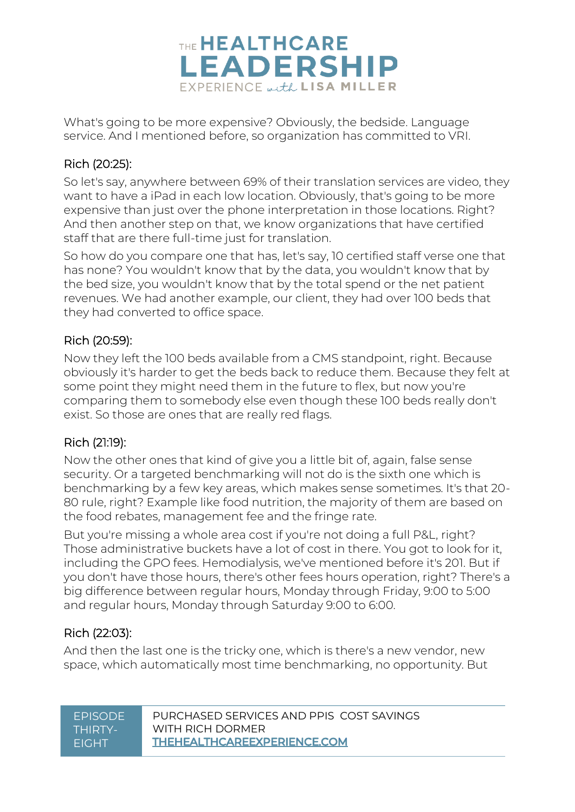

What's going to be more expensive? Obviously, the bedside. Language service. And I mentioned before, so organization has committed to VRI.

#### Rich (20:25):

So let's say, anywhere between 69% of their translation services are video, they want to have a iPad in each low location. Obviously, that's going to be more expensive than just over the phone interpretation in those locations. Right? And then another step on that, we know organizations that have certified staff that are there full-time just for translation.

So how do you compare one that has, let's say, 10 certified staff verse one that has none? You wouldn't know that by the data, you wouldn't know that by the bed size, you wouldn't know that by the total spend or the net patient revenues. We had another example, our client, they had over 100 beds that they had converted to office space.

#### Rich (20:59):

Now they left the 100 beds available from a CMS standpoint, right. Because obviously it's harder to get the beds back to reduce them. Because they felt at some point they might need them in the future to flex, but now you're comparing them to somebody else even though these 100 beds really don't exist. So those are ones that are really red flags.

### Rich (21:19):

Now the other ones that kind of give you a little bit of, again, false sense security. Or a targeted benchmarking will not do is the sixth one which is benchmarking by a few key areas, which makes sense sometimes. It's that 20- 80 rule, right? Example like food nutrition, the majority of them are based on the food rebates, management fee and the fringe rate.

But you're missing a whole area cost if you're not doing a full P&L, right? Those administrative buckets have a lot of cost in there. You got to look for it, including the GPO fees. Hemodialysis, we've mentioned before it's 201. But if you don't have those hours, there's other fees hours operation, right? There's a big difference between regular hours, Monday through Friday, 9:00 to 5:00 and regular hours, Monday through Saturday 9:00 to 6:00.

### Rich (22:03):

And then the last one is the tricky one, which is there's a new vendor, new space, which automatically most time benchmarking, no opportunity. But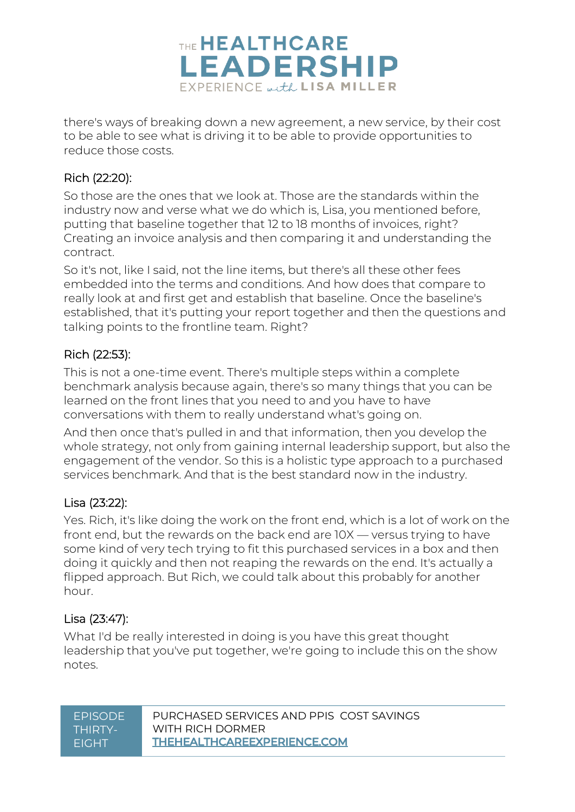

there's ways of breaking down a new agreement, a new service, by their cost to be able to see what is driving it to be able to provide opportunities to reduce those costs.

#### Rich (22:20):

So those are the ones that we look at. Those are the standards within the industry now and verse what we do which is, Lisa, you mentioned before, putting that baseline together that 12 to 18 months of invoices, right? Creating an invoice analysis and then comparing it and understanding the contract.

So it's not, like I said, not the line items, but there's all these other fees embedded into the terms and conditions. And how does that compare to really look at and first get and establish that baseline. Once the baseline's established, that it's putting your report together and then the questions and talking points to the frontline team. Right?

#### Rich (22:53):

This is not a one-time event. There's multiple steps within a complete benchmark analysis because again, there's so many things that you can be learned on the front lines that you need to and you have to have conversations with them to really understand what's going on.

And then once that's pulled in and that information, then you develop the whole strategy, not only from gaining internal leadership support, but also the engagement of the vendor. So this is a holistic type approach to a purchased services benchmark. And that is the best standard now in the industry.

#### Lisa (23:22):

Yes. Rich, it's like doing the work on the front end, which is a lot of work on the front end, but the rewards on the back end are 10X — versus trying to have some kind of very tech trying to fit this purchased services in a box and then doing it quickly and then not reaping the rewards on the end. It's actually a flipped approach. But Rich, we could talk about this probably for another hour.

#### Lisa (23:47):

What I'd be really interested in doing is you have this great thought leadership that you've put together, we're going to include this on the show notes.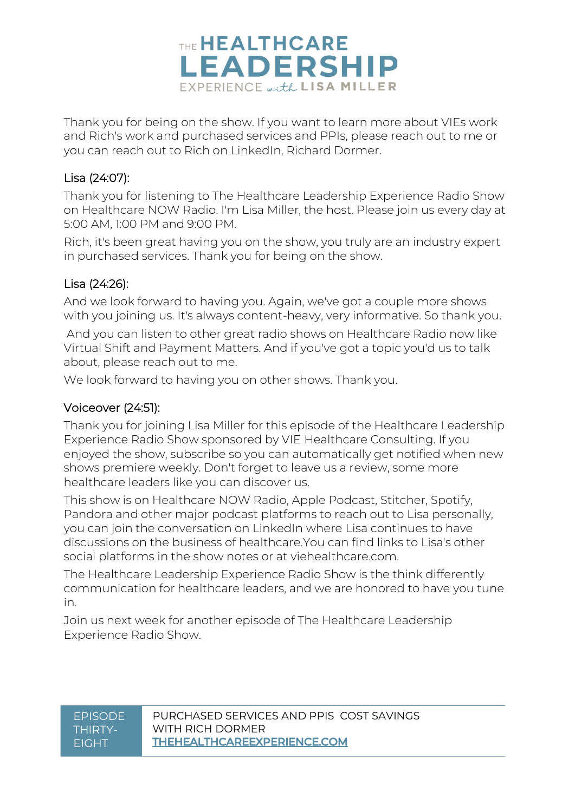

Thank you for being on the show. If you want to learn more about VIEs work and Rich's work and purchased services and PPIs, please reach out to me or you can reach out to Rich on LinkedIn, Richard Dormer.

#### Lisa (24:07):

Thank you for listening to The Healthcare Leadership Experience Radio Show on Healthcare NOW Radio. I'm Lisa Miller, the host. Please join us every day at 5:00 AM, 1:00 PM and 9:00 PM.

Rich, it's been great having you on the show, you truly are an industry expert in purchased services. Thank you for being on the show.

#### Lisa (24:26):

And we look forward to having you. Again, we've got a couple more shows with you joining us. It's always content-heavy, very informative. So thank you.

And you can listen to other great radio shows on Healthcare Radio now like Virtual Shift and Payment Matters. And if you've got a topic you'd us to talk about, please reach out to me.

We look forward to having you on other shows. Thank you.

#### Voiceover (24:51):

Thank you for joining Lisa Miller for this episode of the Healthcare Leadership Experience Radio Show sponsored by VIE Healthcare Consulting. If you enjoyed the show, subscribe so you can automatically get notified when new shows premiere weekly. Don't forget to leave us a review, some more healthcare leaders like you can discover us.

This show is on Healthcare NOW Radio, Apple Podcast, Stitcher, Spotify, Pandora and other major podcast platforms to reach out to Lisa personally, you can join the conversation on LinkedIn where Lisa continues to have discussions on the business of healthcare.You can find links to Lisa's other social platforms in the show notes or at viehealthcare.com.

The Healthcare Leadership Experience Radio Show is the think differently communication for healthcare leaders, and we are honored to have you tune in.

Join us next week for another episode of The Healthcare Leadership Experience Radio Show.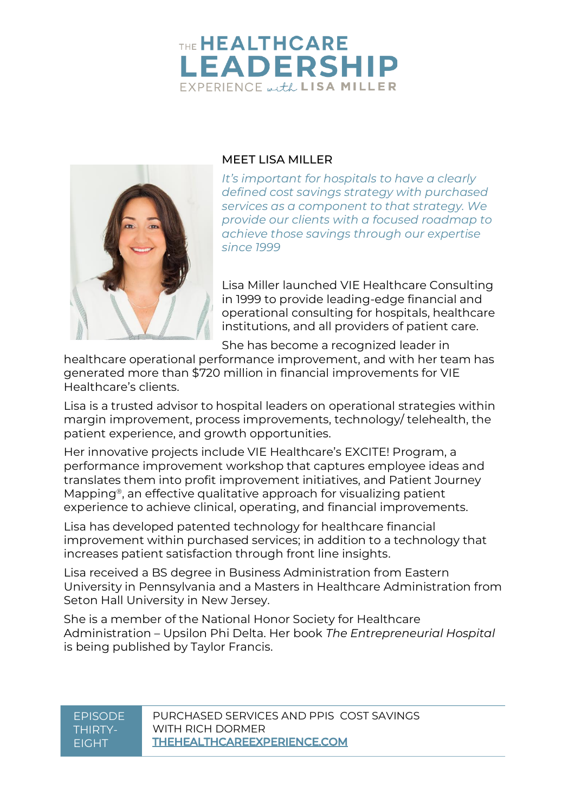## THE HEALTHCARE **LEADERSHIP** EXPERIENCE with LISA MILLER



#### MEET LISA MILLER

*It's important for hospitals to have a clearly defined cost savings strategy with purchased services as a component to that strategy. We provide our clients with a focused roadmap to achieve those savings through our expertise since 1999*

Lisa Miller launched VIE Healthcare Consulting in 1999 to provide leading-edge financial and operational consulting for hospitals, healthcare institutions, and all providers of patient care.

She has become a recognized leader in

healthcare operational performance improvement, and with her team has generated more than \$720 million in financial improvements for VIE Healthcare's clients.

Lisa is a trusted advisor to hospital leaders on operational strategies within margin improvement, process improvements, technology/ telehealth, the patient experience, and growth opportunities.

Her innovative projects include VIE Healthcare's EXCITE! Program, a performance improvement workshop that captures employee ideas and translates them into profit improvement initiatives, and Patient Journey Mapping®, an effective qualitative approach for visualizing patient experience to achieve clinical, operating, and financial improvements.

Lisa has developed patented technology for healthcare financial improvement within purchased services; in addition to a technology that increases patient satisfaction through front line insights.

Lisa received a BS degree in Business Administration from Eastern University in Pennsylvania and a Masters in Healthcare Administration from Seton Hall University in New Jersey.

She is a member of the National Honor Society for Healthcare Administration – Upsilon Phi Delta. Her book *The Entrepreneurial Hospital* is being published by Taylor Francis.